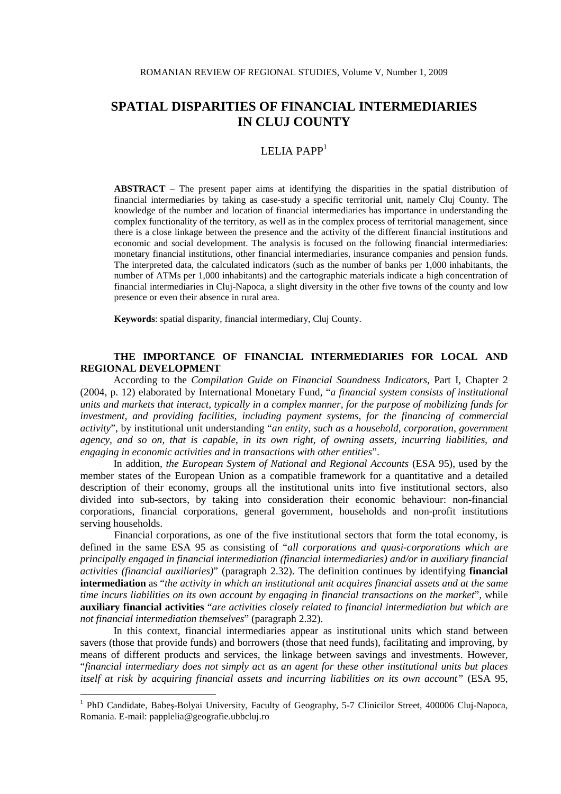# LELIA PAPP $<sup>1</sup>$ </sup>

**ABSTRACT** – The present paper aims at identifying the disparities in the spatial distribution of financial intermediaries by taking as case-study a specific territorial unit, namely Cluj County. The knowledge of the number and location of financial intermediaries has importance in understanding the complex functionality of the territory, as well as in the complex process of territorial management, since there is a close linkage between the presence and the activity of the different financial institutions and economic and social development. The analysis is focused on the following financial intermediaries: monetary financial institutions, other financial intermediaries, insurance companies and pension funds. The interpreted data, the calculated indicators (such as the number of banks per 1,000 inhabitants, the number of ATMs per 1,000 inhabitants) and the cartographic materials indicate a high concentration of financial intermediaries in Cluj-Napoca, a slight diversity in the other five towns of the county and low presence or even their absence in rural area.

**Keywords**: spatial disparity, financial intermediary, Cluj County.

# **THE IMPORTANCE OF FINANCIAL INTERMEDIARIES FOR LOCAL AND REGIONAL DEVELOPMENT**

According to the *Compilation Guide on Financial Soundness Indicators*, Part I, Chapter 2 (2004, p. 12) elaborated by International Monetary Fund, "*a financial system consists of institutional units and markets that interact, typically in a complex manner, for the purpose of mobilizing funds for investment, and providing facilities, including payment systems, for the financing of commercial activity*", by institutional unit understanding "*an entity, such as a household, corporation, government agency, and so on, that is capable, in its own right, of owning assets, incurring liabilities, and engaging in economic activities and in transactions with other entities*".

In addition, *the European System of National and Regional Accounts* (ESA 95), used by the member states of the European Union as a compatible framework for a quantitative and a detailed description of their economy, groups all the institutional units into five institutional sectors, also divided into sub-sectors, by taking into consideration their economic behaviour: non-financial corporations, financial corporations, general government, households and non-profit institutions serving households.

 Financial corporations, as one of the five institutional sectors that form the total economy, is defined in the same ESA 95 as consisting of "*all corporations and quasi-corporations which are principally engaged in financial intermediation (financial intermediaries) and/or in auxiliary financial activities (financial auxiliaries)*" (paragraph 2.32). The definition continues by identifying **financial intermediation** as "*the activity in which an institutional unit acquires financial assets and at the same time incurs liabilities on its own account by engaging in financial transactions on the market*", while **auxiliary financial activities** "*are activities closely related to financial intermediation but which are not financial intermediation themselves*" (paragraph 2.32).

In this context, financial intermediaries appear as institutional units which stand between savers (those that provide funds) and borrowers (those that need funds), facilitating and improving, by means of different products and services, the linkage between savings and investments. However, "*financial intermediary does not simply act as an agent for these other institutional units but places itself at risk by acquiring financial assets and incurring liabilities on its own account"* (ESA 95,

 1 PhD Candidate, Babeş-Bolyai University, Faculty of Geography, 5-7 Clinicilor Street, 400006 Cluj-Napoca, Romania. E-mail: papplelia@geografie.ubbcluj.ro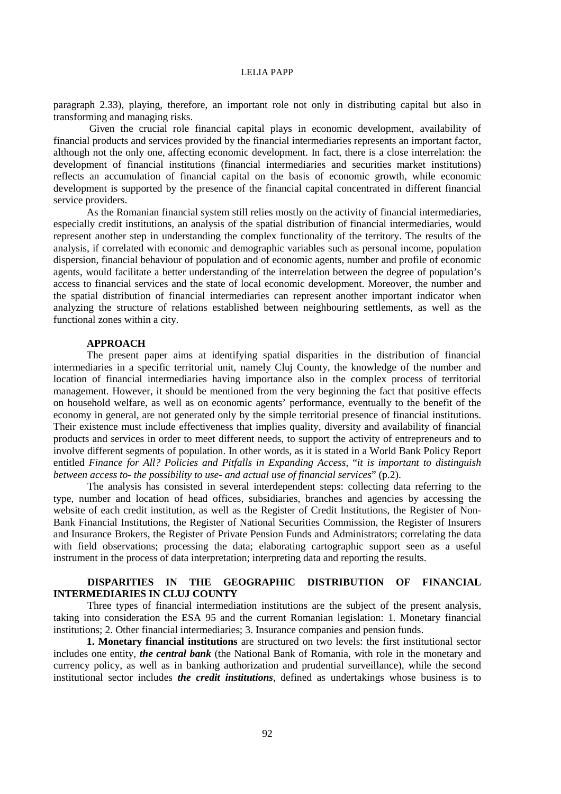paragraph 2.33), playing, therefore, an important role not only in distributing capital but also in transforming and managing risks.

 Given the crucial role financial capital plays in economic development, availability of financial products and services provided by the financial intermediaries represents an important factor, although not the only one, affecting economic development. In fact, there is a close interrelation: the development of financial institutions (financial intermediaries and securities market institutions) reflects an accumulation of financial capital on the basis of economic growth, while economic development is supported by the presence of the financial capital concentrated in different financial service providers.

As the Romanian financial system still relies mostly on the activity of financial intermediaries, especially credit institutions, an analysis of the spatial distribution of financial intermediaries, would represent another step in understanding the complex functionality of the territory. The results of the analysis, if correlated with economic and demographic variables such as personal income, population dispersion, financial behaviour of population and of economic agents, number and profile of economic agents, would facilitate a better understanding of the interrelation between the degree of population's access to financial services and the state of local economic development. Moreover, the number and the spatial distribution of financial intermediaries can represent another important indicator when analyzing the structure of relations established between neighbouring settlements, as well as the functional zones within a city.

## **APPROACH**

The present paper aims at identifying spatial disparities in the distribution of financial intermediaries in a specific territorial unit, namely Cluj County, the knowledge of the number and location of financial intermediaries having importance also in the complex process of territorial management. However, it should be mentioned from the very beginning the fact that positive effects on household welfare, as well as on economic agents' performance, eventually to the benefit of the economy in general, are not generated only by the simple territorial presence of financial institutions. Their existence must include effectiveness that implies quality, diversity and availability of financial products and services in order to meet different needs, to support the activity of entrepreneurs and to involve different segments of population. In other words, as it is stated in a World Bank Policy Report entitled *Finance for All? Policies and Pitfalls in Expanding Access*, "*it is important to distinguish between access to- the possibility to use- and actual use of financial services*" (p.2).

 The analysis has consisted in several interdependent steps: collecting data referring to the type, number and location of head offices, subsidiaries, branches and agencies by accessing the website of each credit institution, as well as the Register of Credit Institutions, the Register of Non-Bank Financial Institutions, the Register of National Securities Commission, the Register of Insurers and Insurance Brokers, the Register of Private Pension Funds and Administrators; correlating the data with field observations; processing the data; elaborating cartographic support seen as a useful instrument in the process of data interpretation; interpreting data and reporting the results.

## **DISPARITIES IN THE GEOGRAPHIC DISTRIBUTION OF FINANCIAL INTERMEDIARIES IN CLUJ COUNTY**

Three types of financial intermediation institutions are the subject of the present analysis, taking into consideration the ESA 95 and the current Romanian legislation: 1. Monetary financial institutions; 2. Other financial intermediaries; 3. Insurance companies and pension funds.

**1. Monetary financial institutions** are structured on two levels: the first institutional sector includes one entity, *the central bank* (the National Bank of Romania, with role in the monetary and currency policy, as well as in banking authorization and prudential surveillance), while the second institutional sector includes *the credit institutions*, defined as undertakings whose business is to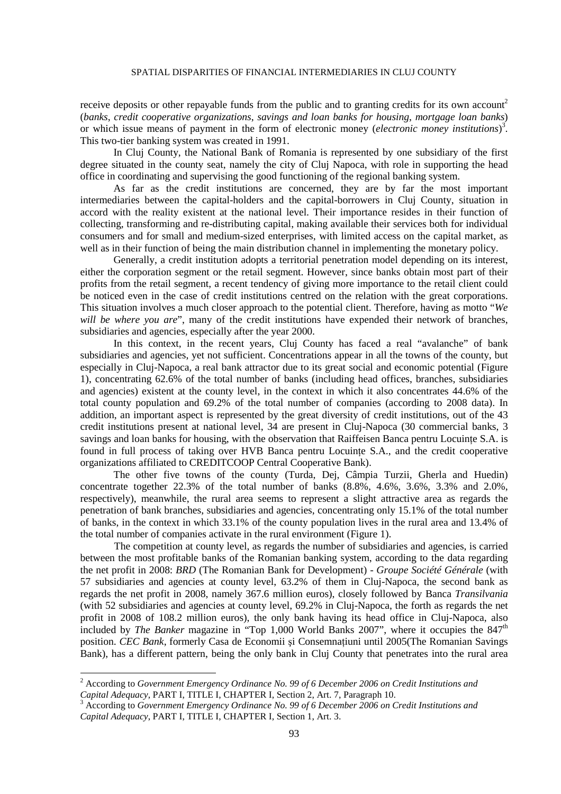receive deposits or other repayable funds from the public and to granting credits for its own account<sup>2</sup> (*banks*, *credit cooperative organizations*, *savings and loan banks for housing*, *mortgage loan banks*) or which issue means of payment in the form of electronic money (*electronic money institutions*) 3 . This two-tier banking system was created in 1991.

In Cluj County, the National Bank of Romania is represented by one subsidiary of the first degree situated in the county seat, namely the city of Cluj Napoca, with role in supporting the head office in coordinating and supervising the good functioning of the regional banking system.

As far as the credit institutions are concerned, they are by far the most important intermediaries between the capital-holders and the capital-borrowers in Cluj County, situation in accord with the reality existent at the national level. Their importance resides in their function of collecting, transforming and re-distributing capital, making available their services both for individual consumers and for small and medium-sized enterprises, with limited access on the capital market, as well as in their function of being the main distribution channel in implementing the monetary policy.

Generally, a credit institution adopts a territorial penetration model depending on its interest, either the corporation segment or the retail segment. However, since banks obtain most part of their profits from the retail segment, a recent tendency of giving more importance to the retail client could be noticed even in the case of credit institutions centred on the relation with the great corporations. This situation involves a much closer approach to the potential client. Therefore, having as motto "*We will be where you are*", many of the credit institutions have expended their network of branches, subsidiaries and agencies, especially after the year 2000.

In this context, in the recent years, Cluj County has faced a real "avalanche" of bank subsidiaries and agencies, yet not sufficient. Concentrations appear in all the towns of the county, but especially in Cluj-Napoca, a real bank attractor due to its great social and economic potential (Figure 1), concentrating 62.6% of the total number of banks (including head offices, branches, subsidiaries and agencies) existent at the county level, in the context in which it also concentrates 44.6% of the total county population and 69.2% of the total number of companies (according to 2008 data). In addition, an important aspect is represented by the great diversity of credit institutions, out of the 43 credit institutions present at national level, 34 are present in Cluj-Napoca (30 commercial banks, 3 savings and loan banks for housing, with the observation that Raiffeisen Banca pentru Locuinte S.A. is found in full process of taking over HVB Banca pentru Locuinte S.A., and the credit cooperative organizations affiliated to CREDITCOOP Central Cooperative Bank).

The other five towns of the county (Turda, Dej, Câmpia Turzii, Gherla and Huedin) concentrate together  $22.3\%$  of the total number of banks  $(8.8\%, 4.6\%, 3.6\%, 3.3\%$  and  $2.0\%$ . respectively), meanwhile, the rural area seems to represent a slight attractive area as regards the penetration of bank branches, subsidiaries and agencies, concentrating only 15.1% of the total number of banks, in the context in which 33.1% of the county population lives in the rural area and 13.4% of the total number of companies activate in the rural environment (Figure 1).

The competition at county level, as regards the number of subsidiaries and agencies, is carried between the most profitable banks of the Romanian banking system, according to the data regarding the net profit in 2008: *BRD* (The Romanian Bank for Development) - *Groupe Société Générale* (with 57 subsidiaries and agencies at county level, 63.2% of them in Cluj-Napoca, the second bank as regards the net profit in 2008, namely 367.6 million euros), closely followed by Banca *Transilvania* (with 52 subsidiaries and agencies at county level, 69.2% in Cluj-Napoca, the forth as regards the net profit in 2008 of 108.2 million euros), the only bank having its head office in Cluj-Napoca, also included by *The Banker* magazine in "Top 1,000 World Banks 2007", where it occupies the 847<sup>th</sup> position. *CEC Bank*, formerly Casa de Economii și Consemnațiuni until 2005(The Romanian Savings Bank), has a different pattern, being the only bank in Cluj County that penetrates into the rural area

 2 According to *Government Emergency Ordinance No. 99 of 6 December 2006 on Credit Institutions and Capital Adequacy*, PART I, TITLE I, CHAPTER I, Section 2, Art. 7, Paragraph 10.

<sup>3</sup> According to *Government Emergency Ordinance No. 99 of 6 December 2006 on Credit Institutions and Capital Adequacy*, PART I, TITLE I, CHAPTER I, Section 1, Art. 3.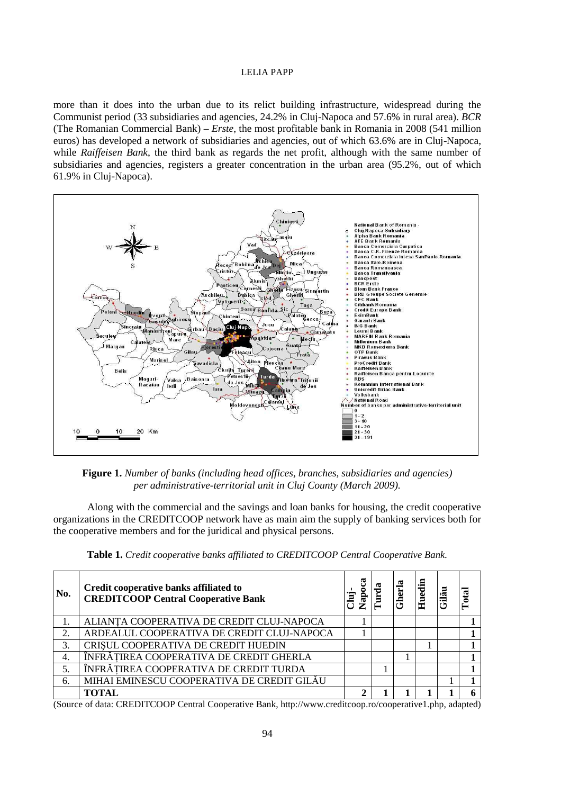more than it does into the urban due to its relict building infrastructure, widespread during the Communist period (33 subsidiaries and agencies, 24.2% in Cluj-Napoca and 57.6% in rural area). BCR (The Romanian Commercial Bank) – *Erste*, the most profitable bank in Romania in 2008 (541 million euros) has developed a network of subsidiaries and agencies, out of which 63.6% are in Cluj-Napoca, while Raiffeisen Bank, the third bank as regards the net profit, although with the same number of subsidiaries and agencies, registers a greater concentration in the urban area (95.2%, out of which 61.9% in Cluj-Napoca).



**Figure 1.** Number of banks (including head offices, branches, subsidiaries and agencies) per administrative-territorial unit in Cluj County (March 2009).

Along with the commercial and the savings and loan banks for housing, the credit cooperative organizations in the CREDITCOOP network have as main aim the supply of banking services both for the cooperative members and for the juridical and physical persons.

| No.             | Credit cooperative banks affiliated to<br><b>CREDITCOOP Central Cooperative Bank</b> | apo<br>'ਥੋਂ | Gherla | <b>Huedin</b> | $_{\alpha}$ |
|-----------------|--------------------------------------------------------------------------------------|-------------|--------|---------------|-------------|
|                 | ALIANTA COOPERATIVA DE CREDIT CLUJ-NAPOCA                                            |             |        |               |             |
| 2.              | ARDEALUL COOPERATIVA DE CREDIT CLUJ-NAPOCA                                           |             |        |               |             |
| 3.              | CRISUL COOPERATIVA DE CREDIT HUEDIN                                                  |             |        |               |             |
| $\mathcal{A}$ . | ÎNFRĂȚIREA COOPERATIVA DE CREDIT GHERLA                                              |             |        |               |             |
|                 | ÎNFRĂȚIREA COOPERATIVA DE CREDIT TURDA                                               |             |        |               |             |
| 6.              | MIHAI EMINESCU COOPERATIVA DE CREDIT GILĂU                                           |             |        |               |             |
|                 | TOTAL                                                                                |             |        |               |             |

Table 1. Credit cooperative banks affiliated to CREDITCOOP Central Cooperative Bank.

(Source of data: CREDITCOOP Central Cooperative Bank, http://www.creditcoop.ro/cooperative1.php, adapted)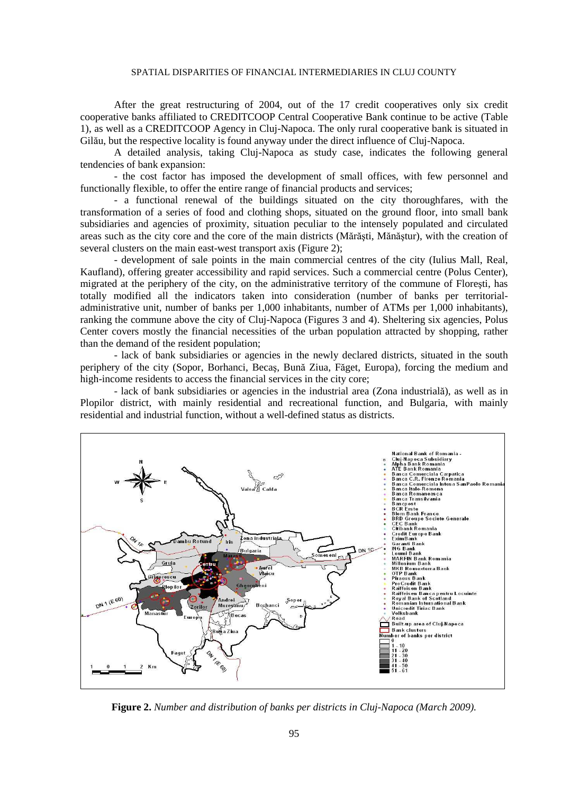After the great restructuring of 2004, out of the 17 credit cooperatives only six credit cooperative banks affiliated to CREDITCOOP Central Cooperative Bank continue to be active (Table 1), as well as a CREDITCOOP Agency in Cluj-Napoca. The only rural cooperative bank is situated in Gilău, but the respective locality is found anyway under the direct influence of Cluj-Napoca.

 A detailed analysis, taking Cluj-Napoca as study case, indicates the following general tendencies of bank expansion:

 - the cost factor has imposed the development of small offices, with few personnel and functionally flexible, to offer the entire range of financial products and services;

- a functional renewal of the buildings situated on the city thoroughfares, with the transformation of a series of food and clothing shops, situated on the ground floor, into small bank subsidiaries and agencies of proximity, situation peculiar to the intensely populated and circulated areas such as the city core and the core of the main districts (Mărăşti, Mănăştur), with the creation of several clusters on the main east-west transport axis (Figure 2);

- development of sale points in the main commercial centres of the city (Iulius Mall, Real, Kaufland), offering greater accessibility and rapid services. Such a commercial centre (Polus Center), migrated at the periphery of the city, on the administrative territory of the commune of Floreşti, has totally modified all the indicators taken into consideration (number of banks per territorialadministrative unit, number of banks per 1,000 inhabitants, number of ATMs per 1,000 inhabitants), ranking the commune above the city of Cluj-Napoca (Figures 3 and 4). Sheltering six agencies, Polus Center covers mostly the financial necessities of the urban population attracted by shopping, rather than the demand of the resident population;

- lack of bank subsidiaries or agencies in the newly declared districts, situated in the south periphery of the city (Sopor, Borhanci, Becaş, Bună Ziua, Făget, Europa), forcing the medium and high-income residents to access the financial services in the city core;

- lack of bank subsidiaries or agencies in the industrial area (Zona industrială), as well as in Plopilor district, with mainly residential and recreational function, and Bulgaria, with mainly residential and industrial function, without a well-defined status as districts.



**Figure 2.** *Number and distribution of banks per districts in Cluj-Napoca (March 2009).*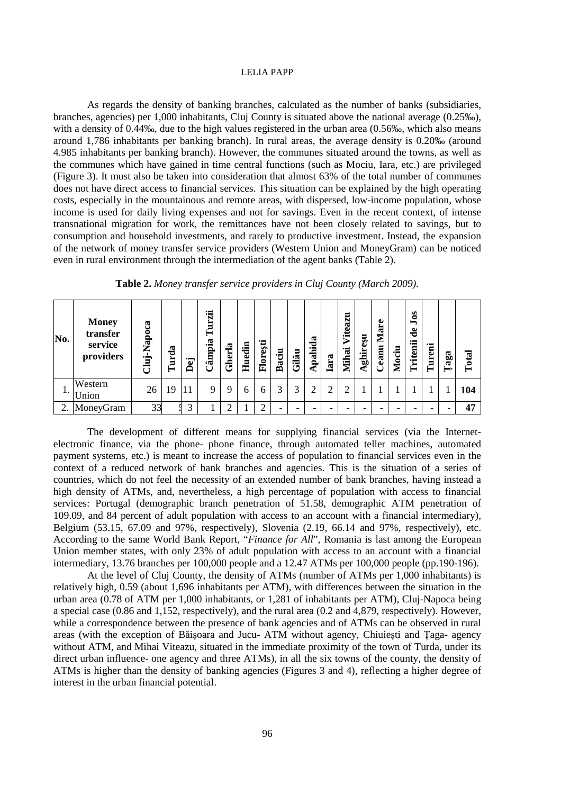As regards the density of banking branches, calculated as the number of banks (subsidiaries, branches, agencies) per 1,000 inhabitants, Cluj County is situated above the national average (0.25‰), with a density of 0.44‰, due to the high values registered in the urban area (0.56‰, which also means around 1,786 inhabitants per banking branch). In rural areas, the average density is 0.20‰ (around 4.985 inhabitants per banking branch). However, the communes situated around the towns, as well as the communes which have gained in time central functions (such as Mociu, Iara, etc.) are privileged (Figure 3). It must also be taken into consideration that almost 63% of the total number of communes does not have direct access to financial services. This situation can be explained by the high operating costs, especially in the mountainous and remote areas, with dispersed, low-income population, whose income is used for daily living expenses and not for savings. Even in the recent context, of intense transnational migration for work, the remittances have not been closely related to savings, but to consumption and household investments, and rarely to productive investment. Instead, the expansion of the network of money transfer service providers (Western Union and MoneyGram) can be noticed even in rural environment through the intermediation of the agent banks (Table 2).

| No. | <b>Money</b><br>transfer<br>service<br>providers | Cluj-Napoca | Turda | Dej | 词<br>Ξ<br>┶<br>ampia | ria<br><b>Ghei</b> | Huedin | Florești | Baciu | Gilău | Apahida | Iara | ដ<br>Vitea<br><b>Mihai</b> | ghireșu<br>⋖ | ω<br>Mar<br>eanu | Mociu | 80<br>➡<br>$\bullet$<br>ರ<br>ritenii | ureni<br>⊨ | $\mathbf{a}\mathbf{g}\mathbf{a}$ | Total |
|-----|--------------------------------------------------|-------------|-------|-----|----------------------|--------------------|--------|----------|-------|-------|---------|------|----------------------------|--------------|------------------|-------|--------------------------------------|------------|----------------------------------|-------|
|     | Western<br>Union                                 | 26          | 19    | 11  | 9                    |                    | 6      | 6        | 3     | 3     | ◠       | ◠    | σ                          |              |                  |       |                                      |            |                                  | 104   |
| 2.  | MoneyGram                                        | 33          |       | 2   |                      |                    |        |          |       |       |         |      |                            |              |                  |       |                                      |            |                                  | 47    |

**Table 2.** *Money transfer service providers in Cluj County (March 2009).* 

 The development of different means for supplying financial services (via the Internetelectronic finance, via the phone- phone finance, through automated teller machines, automated payment systems, etc.) is meant to increase the access of population to financial services even in the context of a reduced network of bank branches and agencies. This is the situation of a series of countries, which do not feel the necessity of an extended number of bank branches, having instead a high density of ATMs, and, nevertheless, a high percentage of population with access to financial services: Portugal (demographic branch penetration of 51.58, demographic ATM penetration of 109.09, and 84 percent of adult population with access to an account with a financial intermediary), Belgium (53.15, 67.09 and 97%, respectively), Slovenia (2.19, 66.14 and 97%, respectively), etc. According to the same World Bank Report, "*Finance for All*", Romania is last among the European Union member states, with only 23% of adult population with access to an account with a financial intermediary, 13.76 branches per 100,000 people and a 12.47 ATMs per 100,000 people (pp.190-196).

 At the level of Cluj County, the density of ATMs (number of ATMs per 1,000 inhabitants) is relatively high, 0.59 (about 1,696 inhabitants per ATM), with differences between the situation in the urban area (0.78 of ATM per 1,000 inhabitants, or 1,281 of inhabitants per ATM), Cluj-Napoca being a special case (0.86 and 1,152, respectively), and the rural area (0.2 and 4,879, respectively). However, while a correspondence between the presence of bank agencies and of ATMs can be observed in rural areas (with the exception of Băisoara and Jucu- ATM without agency, Chiuiesti and Taga- agency without ATM, and Mihai Viteazu, situated in the immediate proximity of the town of Turda, under its direct urban influence- one agency and three ATMs), in all the six towns of the county, the density of ATMs is higher than the density of banking agencies (Figures 3 and 4), reflecting a higher degree of interest in the urban financial potential.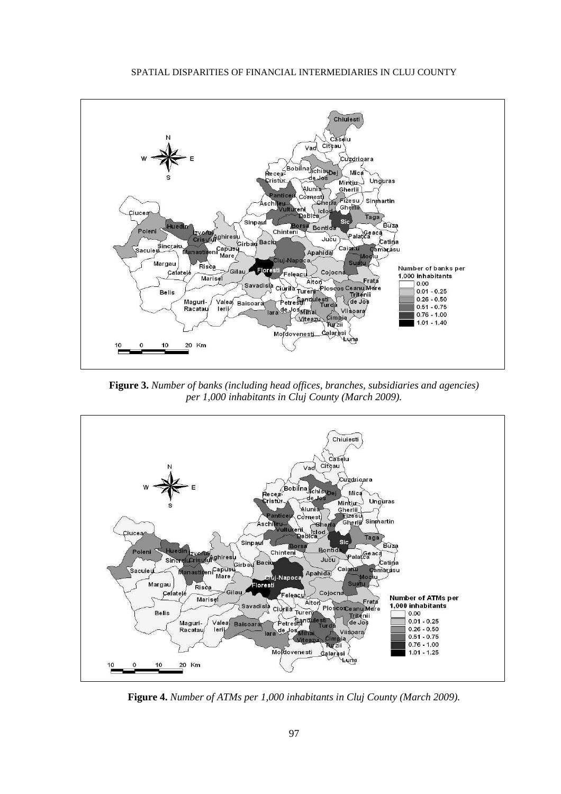

**Figure 3.** *Number of banks (including head offices, branches, subsidiaries and agencies) per 1,000 inhabitants in Cluj County (March 2009).* 



**Figure 4.** *Number of ATMs per 1,000 inhabitants in Cluj County (March 2009).*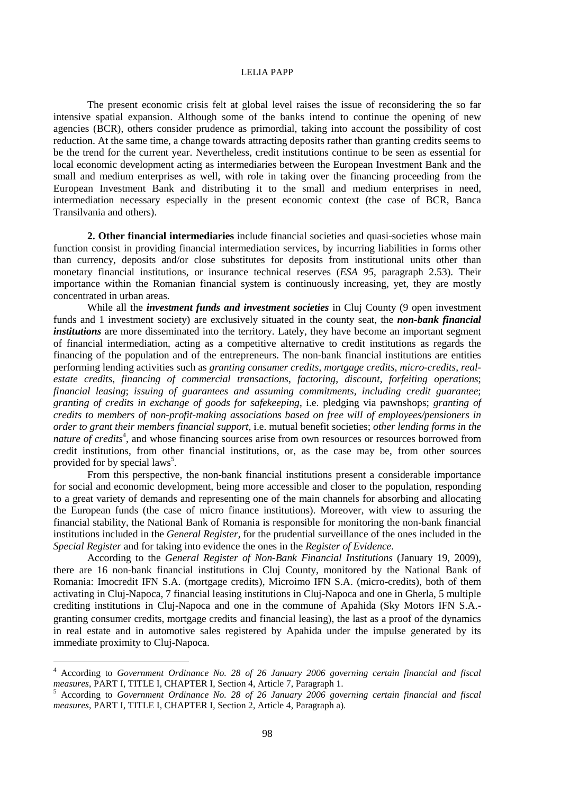The present economic crisis felt at global level raises the issue of reconsidering the so far intensive spatial expansion. Although some of the banks intend to continue the opening of new agencies (BCR), others consider prudence as primordial, taking into account the possibility of cost reduction. At the same time, a change towards attracting deposits rather than granting credits seems to be the trend for the current year. Nevertheless, credit institutions continue to be seen as essential for local economic development acting as intermediaries between the European Investment Bank and the small and medium enterprises as well, with role in taking over the financing proceeding from the European Investment Bank and distributing it to the small and medium enterprises in need, intermediation necessary especially in the present economic context (the case of BCR, Banca Transilvania and others).

**2. Other financial intermediaries** include financial societies and quasi-societies whose main function consist in providing financial intermediation services, by incurring liabilities in forms other than currency, deposits and/or close substitutes for deposits from institutional units other than monetary financial institutions, or insurance technical reserves (*ESA 95*, paragraph 2.53). Their importance within the Romanian financial system is continuously increasing, yet, they are mostly concentrated in urban areas.

 While all the *investment funds and investment societies* in Cluj County (9 open investment funds and 1 investment society) are exclusively situated in the county seat, the *non-bank financial institutions* are more disseminated into the territory. Lately, they have become an important segment of financial intermediation, acting as a competitive alternative to credit institutions as regards the financing of the population and of the entrepreneurs. The non-bank financial institutions are entities performing lending activities such as *granting consumer credits*, *mortgage credits*, *micro-credits*, *realestate credits*, *financing of commercial transactions*, *factoring*, *discount*, *forfeiting operations*; *financial leasing*; *issuing of guarantees and assuming commitments, including credit guarantee*; *granting of credits in exchange of goods for safekeeping*, i.e. pledging via pawnshops; *granting of credits to members of non-profit-making associations based on free will of employees/pensioners in order to grant their members financial support*, i.e. mutual benefit societies; *other lending forms in the*  nature of credits<sup>4</sup>, and whose financing sources arise from own resources or resources borrowed from credit institutions, from other financial institutions, or, as the case may be, from other sources provided for by special laws<sup>5</sup>.

 From this perspective, the non-bank financial institutions present a considerable importance for social and economic development, being more accessible and closer to the population, responding to a great variety of demands and representing one of the main channels for absorbing and allocating the European funds (the case of micro finance institutions). Moreover, with view to assuring the financial stability, the National Bank of Romania is responsible for monitoring the non-bank financial institutions included in the *General Register*, for the prudential surveillance of the ones included in the *Special Register* and for taking into evidence the ones in the *Register of Evidence*.

 According to the *General Register of Non-Bank Financial Institutions* (January 19, 2009), there are 16 non-bank financial institutions in Cluj County, monitored by the National Bank of Romania: Imocredit IFN S.A. (mortgage credits), Microimo IFN S.A. (micro-credits), both of them activating in Cluj-Napoca, 7 financial leasing institutions in Cluj-Napoca and one in Gherla, 5 multiple crediting institutions in Cluj-Napoca and one in the commune of Apahida (Sky Motors IFN S.A. granting consumer credits, mortgage credits and financial leasing), the last as a proof of the dynamics in real estate and in automotive sales registered by Apahida under the impulse generated by its immediate proximity to Cluj-Napoca.

 4 According to *Government Ordinance No. 28 of 26 January 2006 governing certain financial and fiscal measures*, PART I, TITLE I, CHAPTER I, Section 4, Article 7, Paragraph 1.

<sup>5</sup> According to *Government Ordinance No. 28 of 26 January 2006 governing certain financial and fiscal measures*, PART I, TITLE I, CHAPTER I, Section 2, Article 4, Paragraph a).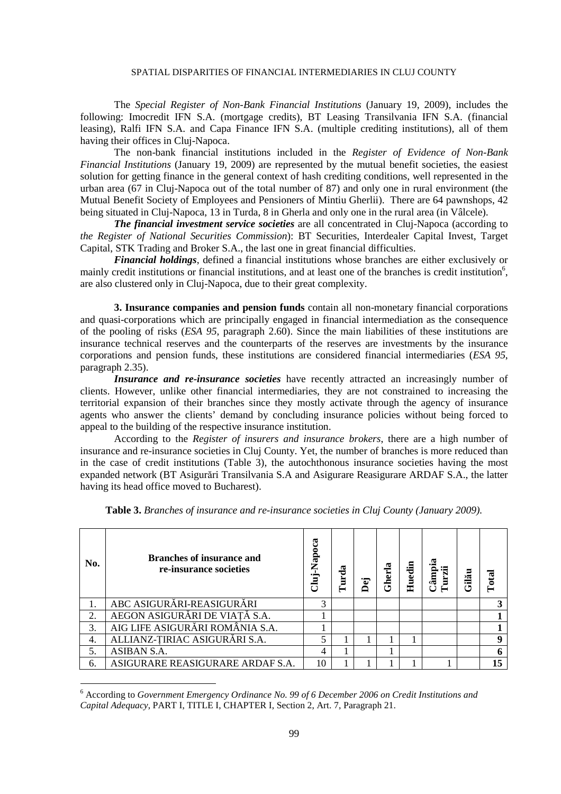The *Special Register of Non-Bank Financial Institutions* (January 19, 2009), includes the following: Imocredit IFN S.A. (mortgage credits), BT Leasing Transilvania IFN S.A. (financial leasing), Ralfi IFN S.A. and Capa Finance IFN S.A. (multiple crediting institutions), all of them having their offices in Cluj-Napoca.

 The non-bank financial institutions included in the *Register of Evidence of Non-Bank Financial Institutions* (January 19, 2009) are represented by the mutual benefit societies, the easiest solution for getting finance in the general context of hash crediting conditions, well represented in the urban area (67 in Cluj-Napoca out of the total number of 87) and only one in rural environment (the Mutual Benefit Society of Employees and Pensioners of Mintiu Gherlii). There are 64 pawnshops, 42 being situated in Cluj-Napoca, 13 in Turda, 8 in Gherla and only one in the rural area (in Vâlcele).

*The financial investment service societies* are all concentrated in Cluj-Napoca (according to *the Register of National Securities Commission*): BT Securities, Interdealer Capital Invest, Target Capital, STK Trading and Broker S.A., the last one in great financial difficulties.

*Financial holdings*, defined a financial institutions whose branches are either exclusively or mainly credit institutions or financial institutions, and at least one of the branches is credit institution<sup>6</sup>, are also clustered only in Cluj-Napoca, due to their great complexity.

**3. Insurance companies and pension funds** contain all non-monetary financial corporations and quasi-corporations which are principally engaged in financial intermediation as the consequence of the pooling of risks (*ESA 95*, paragraph 2.60). Since the main liabilities of these institutions are insurance technical reserves and the counterparts of the reserves are investments by the insurance corporations and pension funds, these institutions are considered financial intermediaries (*ESA 95*, paragraph 2.35).

*Insurance and re-insurance societies* have recently attracted an increasingly number of clients. However, unlike other financial intermediaries, they are not constrained to increasing the territorial expansion of their branches since they mostly activate through the agency of insurance agents who answer the clients' demand by concluding insurance policies without being forced to appeal to the building of the respective insurance institution.

 According to the *Register of insurers and insurance brokers*, there are a high number of insurance and re-insurance societies in Cluj County. Yet, the number of branches is more reduced than in the case of credit institutions (Table 3), the autochthonous insurance societies having the most expanded network (BT Asigurări Transilvania S.A and Asigurare Reasigurare ARDAF S.A., the latter having its head office moved to Bucharest).

| No. | <b>Branches of insurance and</b><br>re-insurance societies | Napoca<br>Ė | urda | .<br>Ō<br>≏ | Gherla | Huedin | Câmpia<br>Turzii | Gilău | $\Gamma$ otal |
|-----|------------------------------------------------------------|-------------|------|-------------|--------|--------|------------------|-------|---------------|
|     | ABC ASIGURĂRI-REASIGURĂRI                                  | 3           |      |             |        |        |                  |       |               |
| 2.  | AEGON ASIGURĂRI DE VIAȚĂ S.A.                              |             |      |             |        |        |                  |       |               |
| 3.  | AIG LIFE ASIGURĂRI ROMÂNIA S.A.                            |             |      |             |        |        |                  |       |               |
| 4.  | ALLIANZ-ȚIRIAC ASIGURĂRI S.A.                              |             |      |             |        |        |                  |       | q             |
| 5.  | ASIBAN S.A.                                                | 4           |      |             |        |        |                  |       |               |
| 6.  | ASIGURARE REASIGURARE ARDAF S.A.                           | 10          |      |             |        |        |                  |       | 15            |

**Table 3.** *Branches of insurance and re-insurance societies in Cluj County (January 2009).* 

 $\overline{a}$ 

<sup>6</sup> According to *Government Emergency Ordinance No. 99 of 6 December 2006 on Credit Institutions and Capital Adequacy*, PART I, TITLE I, CHAPTER I, Section 2, Art. 7, Paragraph 21.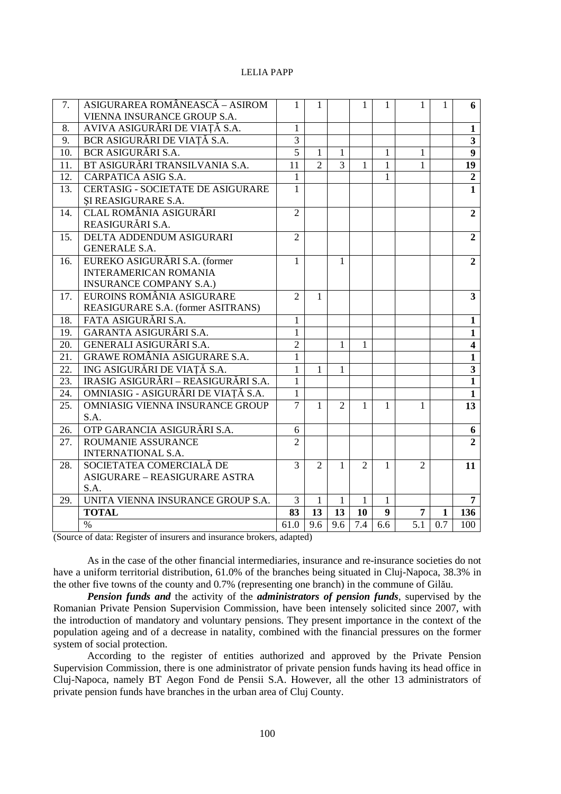| 7.  | ASIGURAREA ROMÂNEASCĂ - ASIROM                                  | 1              | 1              |                | 1              | 1            | 1              | 1   | 6                       |
|-----|-----------------------------------------------------------------|----------------|----------------|----------------|----------------|--------------|----------------|-----|-------------------------|
|     | VIENNA INSURANCE GROUP S.A.                                     |                |                |                |                |              |                |     |                         |
| 8.  | AVIVA ASIGURĂRI DE VIAȚĂ S.A.                                   | 1              |                |                |                |              |                |     | 1                       |
| 9.  | BCR ASIGURĂRI DE VIAȚĂ S.A.                                     | 3              |                |                |                |              |                |     | $\overline{\mathbf{3}}$ |
| 10. | BCR ASIGURĂRI S.A.                                              | $\overline{5}$ | $\mathbf{1}$   | 1              |                | 1            | 1              |     | $\overline{9}$          |
| 11. | BT ASIGURĂRI TRANSILVANIA S.A.                                  | 11             | $\overline{2}$ | $\overline{3}$ | 1              | $\mathbf{1}$ | $\mathbf{1}$   |     | 19                      |
| 12. | CARPATICA ASIG S.A.                                             | $\mathbf{1}$   |                |                |                | $\mathbf{1}$ |                |     | $\overline{2}$          |
| 13. | <b>CERTASIG - SOCIETATE DE ASIGURARE</b><br>SI REASIGURARE S.A. | $\mathbf{1}$   |                |                |                |              |                |     | $\overline{1}$          |
| 14. | CLAL ROMÂNIA ASIGURĂRI                                          | $\overline{2}$ |                |                |                |              |                |     | $\overline{2}$          |
|     | REASIGURĂRI S.A.                                                |                |                |                |                |              |                |     |                         |
| 15. | DELTA ADDENDUM ASIGURARI                                        | $\overline{2}$ |                |                |                |              |                |     | $\overline{2}$          |
|     | <b>GENERALE S.A.</b>                                            |                |                |                |                |              |                |     |                         |
| 16. | EUREKO ASIGURĂRI S.A. (former                                   | $\mathbf{1}$   |                | 1              |                |              |                |     | $\overline{2}$          |
|     | <b>INTERAMERICAN ROMANIA</b>                                    |                |                |                |                |              |                |     |                         |
|     | <b>INSURANCE COMPANY S.A.)</b>                                  |                |                |                |                |              |                |     |                         |
| 17. | EUROINS ROMÂNIA ASIGURARE                                       | $\mathfrak{2}$ | 1              |                |                |              |                |     | $\overline{\mathbf{3}}$ |
|     | REASIGURARE S.A. (former ASITRANS)                              |                |                |                |                |              |                |     |                         |
| 18. | FATA ASIGURĂRI S.A.                                             | $\mathbf{1}$   |                |                |                |              |                |     | $\mathbf{1}$            |
| 19. | GARANTA ASIGURĂRI S.A.                                          | $\mathbf{1}$   |                |                |                |              |                |     | $\mathbf{1}$            |
| 20. | GENERALI ASIGURĂRI S.A.                                         | $\overline{2}$ |                | 1              | 1              |              |                |     | $\overline{\mathbf{4}}$ |
| 21. | <b>GRAWE ROMÂNIA ASIGURARE S.A.</b>                             | $\mathbf{1}$   |                |                |                |              |                |     | $\mathbf{1}$            |
| 22. | ING ASIGURĂRI DE VIATĂ S.A.                                     | $\mathbf{1}$   | 1              | 1              |                |              |                |     | $\overline{\mathbf{3}}$ |
| 23. | IRASIG ASIGURĂRI – REASIGURĂRI S.A.                             | $\mathbf{1}$   |                |                |                |              |                |     | $\mathbf{1}$            |
| 24. | OMNIASIG - ASIGURĂRI DE VIATĂ S.A.                              | $\mathbf{1}$   |                |                |                |              |                |     | $\overline{1}$          |
| 25. | OMNIASIG VIENNA INSURANCE GROUP                                 | $\overline{7}$ | $\mathbf{1}$   | $\overline{2}$ | 1              | 1            | 1              |     | 13                      |
|     | S.A.                                                            |                |                |                |                |              |                |     |                         |
| 26. | OTP GARANCIA ASIGURĂRI S.A.                                     | 6              |                |                |                |              |                |     | 6                       |
| 27. | <b>ROUMANIE ASSURANCE</b>                                       | $\mathfrak{D}$ |                |                |                |              |                |     | $\overline{2}$          |
|     | <b>INTERNATIONAL S.A.</b>                                       |                |                |                |                |              |                |     |                         |
| 28. | SOCIETATEA COMERCIALĂ DE                                        | 3              | 2              | 1              | $\overline{2}$ | 1            | $\overline{2}$ |     | 11                      |
|     | ASIGURARE - REASIGURARE ASTRA                                   |                |                |                |                |              |                |     |                         |
|     | S.A.                                                            |                |                |                |                |              |                |     |                         |
| 29. | UNITA VIENNA INSURANCE GROUP S.A.                               | 3              | $\mathbf{1}$   | 1              | 1              | 1            |                |     | $\overline{7}$          |
|     | <b>TOTAL</b>                                                    | 83             | 13             | 13             | <b>10</b>      | 9            | 7              | 1   | 136                     |
|     | $\%$                                                            | 61.0           | 9.6            | 9.6            | 7.4            | 6.6          | 5.1            | 0.7 | 100                     |

(Source of data: Register of insurers and insurance brokers, adapted)

As in the case of the other financial intermediaries, insurance and re-insurance societies do not have a uniform territorial distribution, 61.0% of the branches being situated in Cluj-Napoca, 38.3% in the other five towns of the county and 0.7% (representing one branch) in the commune of Gilău.

**Pension funds and the activity of the administrators of pension funds, supervised by the** Romanian Private Pension Supervision Commission, have been intensely solicited since 2007, with the introduction of mandatory and voluntary pensions. They present importance in the context of the population ageing and of a decrease in natality, combined with the financial pressures on the former system of social protection.

According to the register of entities authorized and approved by the Private Pension Supervision Commission, there is one administrator of private pension funds having its head office in Cluj-Napoca, namely BT Aegon Fond de Pensii S.A. However, all the other 13 administrators of private pension funds have branches in the urban area of Cluj County.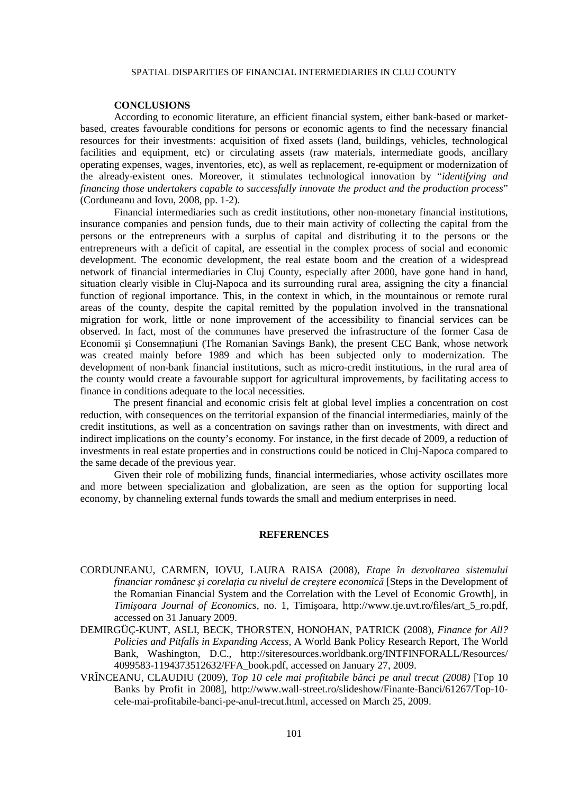## **CONCLUSIONS**

According to economic literature, an efficient financial system, either bank-based or marketbased, creates favourable conditions for persons or economic agents to find the necessary financial resources for their investments: acquisition of fixed assets (land, buildings, vehicles, technological facilities and equipment, etc) or circulating assets (raw materials, intermediate goods, ancillary operating expenses, wages, inventories, etc), as well as replacement, re-equipment or modernization of the already-existent ones. Moreover, it stimulates technological innovation by "*identifying and financing those undertakers capable to successfully innovate the product and the production process*" (Corduneanu and Iovu, 2008, pp. 1-2).

Financial intermediaries such as credit institutions, other non-monetary financial institutions, insurance companies and pension funds, due to their main activity of collecting the capital from the persons or the entrepreneurs with a surplus of capital and distributing it to the persons or the entrepreneurs with a deficit of capital, are essential in the complex process of social and economic development. The economic development, the real estate boom and the creation of a widespread network of financial intermediaries in Cluj County, especially after 2000, have gone hand in hand, situation clearly visible in Cluj-Napoca and its surrounding rural area, assigning the city a financial function of regional importance. This, in the context in which, in the mountainous or remote rural areas of the county, despite the capital remitted by the population involved in the transnational migration for work, little or none improvement of the accessibility to financial services can be observed. In fact, most of the communes have preserved the infrastructure of the former Casa de Economii și Consemnatiuni (The Romanian Savings Bank), the present CEC Bank, whose network was created mainly before 1989 and which has been subjected only to modernization. The development of non-bank financial institutions, such as micro-credit institutions, in the rural area of the county would create a favourable support for agricultural improvements, by facilitating access to finance in conditions adequate to the local necessities.

The present financial and economic crisis felt at global level implies a concentration on cost reduction, with consequences on the territorial expansion of the financial intermediaries, mainly of the credit institutions, as well as a concentration on savings rather than on investments, with direct and indirect implications on the county's economy. For instance, in the first decade of 2009, a reduction of investments in real estate properties and in constructions could be noticed in Cluj-Napoca compared to the same decade of the previous year.

Given their role of mobilizing funds, financial intermediaries, whose activity oscillates more and more between specialization and globalization, are seen as the option for supporting local economy, by channeling external funds towards the small and medium enterprises in need.

## **REFERENCES**

- CORDUNEANU, CARMEN, IOVU, LAURA RAISA (2008), *Etape în dezvoltarea sistemului financiar românesc și corelatia cu nivelul de creștere economică* [Steps in the Development of the Romanian Financial System and the Correlation with the Level of Economic Growth], in *Timişoara Journal of Economics*, no. 1, Timişoara, http://www.tje.uvt.ro/files/art\_5\_ro.pdf, accessed on 31 January 2009.
- DEMIRGÜÇ-KUNT, ASLI, BECK, THORSTEN, HONOHAN, PATRICK (2008), *Finance for All? Policies and Pitfalls in Expanding Access*, A World Bank Policy Research Report, The World Bank, Washington, D.C., http://siteresources.worldbank.org/INTFINFORALL/Resources/ 4099583-1194373512632/FFA\_book.pdf, accessed on January 27, 2009.
- VRÎNCEANU, CLAUDIU (2009), *Top 10 cele mai profitabile bănci pe anul trecut (2008)* [Top 10 Banks by Profit in 2008], http://www.wall-street.ro/slideshow/Finante-Banci/61267/Top-10 cele-mai-profitabile-banci-pe-anul-trecut.html, accessed on March 25, 2009.